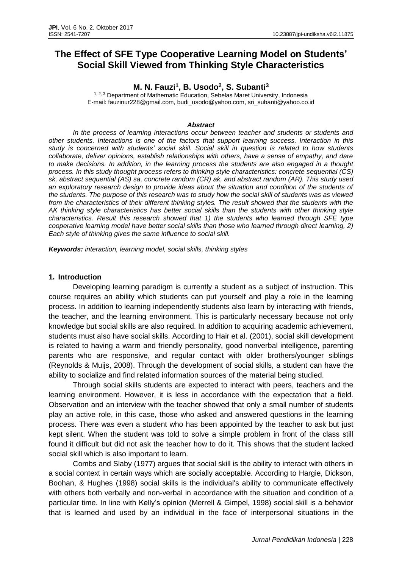# **The Effect of SFE Type Cooperative Learning Model on Students' Social Skill Viewed from Thinking Style Characteristics**

## **M. N. Fauzi<sup>1</sup> , B. Usodo<sup>2</sup> , S. Subanti<sup>3</sup>**

<sup>1, 2, 3</sup> Department of Mathematic Education, Sebelas Maret University, Indonesia E-mail: fauzinur228@gmail.com, budi\_usodo@yahoo.com, sri\_subanti@yahoo.co.id

#### *Abstract*

*In the process of learning interactions occur between teacher and students or students and other students. Interactions is one of the factors that support learning success. Interaction in this study is concerned with students' social skill. Social skill in question is related to how students collaborate, deliver opinions, establish relationships with others, have a sense of empathy, and dare to make decisions. In addition, in the learning process the students are also engaged in a thought process. In this study thought process refers to thinking style characteristics: concrete sequential (CS) sk, abstract sequential (AS) sa, concrete random (CR) ak, and abstract random (AR). This study used an exploratory research design to provide ideas about the situation and condition of the students of the students. The purpose of this research was to study how the social skill of students was as viewed*  from the characteristics of their different thinking styles. The result showed that the students with the *AK thinking style characteristics has better social skills than the students with other thinking style characteristics. Result this research showed that 1) the students who learned through SFE type cooperative learning model have better social skills than those who learned through direct learning, 2) Each style of thinking gives the same influence to social skill.*

*Keywords: interaction, learning model, social skills, thinking styles*

### **1. Introduction**

Developing learning paradigm is currently a student as a subject of instruction. This course requires an ability which students can put yourself and play a role in the learning process. In addition to learning independently students also learn by interacting with friends, the teacher, and the learning environment. This is particularly necessary because not only knowledge but social skills are also required. In addition to acquiring academic achievement, students must also have social skills. According to Hair et al. (2001), social skill development is related to having a warm and friendly personality, good nonverbal intelligence, parenting parents who are responsive, and regular contact with older brothers/younger siblings (Reynolds & Muijs, 2008). Through the development of social skills, a student can have the ability to socialize and find related information sources of the material being studied.

Through social skills students are expected to interact with peers, teachers and the learning environment. However, it is less in accordance with the expectation that a field. Observation and an interview with the teacher showed that only a small number of students play an active role, in this case, those who asked and answered questions in the learning process. There was even a student who has been appointed by the teacher to ask but just kept silent. When the student was told to solve a simple problem in front of the class still found it difficult but did not ask the teacher how to do it. This shows that the student lacked social skill which is also important to learn.

Combs and Slaby (1977) argues that social skill is the ability to interact with others in a social context in certain ways which are socially acceptable. According to Hargie, Dickson, Boohan, & Hughes (1998) social skills is the individual's ability to communicate effectively with others both verbally and non-verbal in accordance with the situation and condition of a particular time. In line with Kelly's opinion (Merrell & Gimpel, 1998) social skill is a behavior that is learned and used by an individual in the face of interpersonal situations in the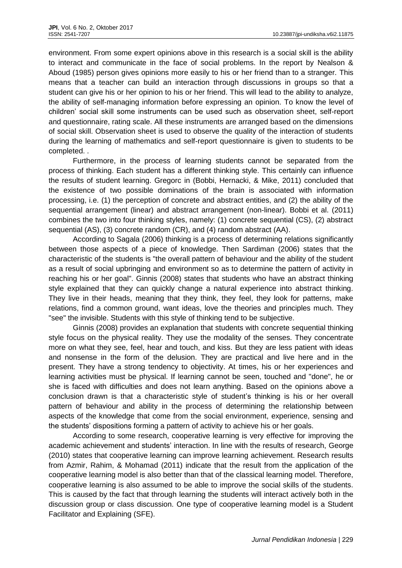environment. From some expert opinions above in this research is a social skill is the ability to interact and communicate in the face of social problems. In the report by Nealson & Aboud (1985) person gives opinions more easily to his or her friend than to a stranger. This means that a teacher can build an interaction through discussions in groups so that a student can give his or her opinion to his or her friend. This will lead to the ability to analyze, the ability of self-managing information before expressing an opinion. To know the level of children' social skill some instruments can be used such as observation sheet, self-report and questionnaire, rating scale. All these instruments are arranged based on the dimensions of social skill. Observation sheet is used to observe the quality of the interaction of students during the learning of mathematics and self-report questionnaire is given to students to be completed. .

Furthermore, in the process of learning students cannot be separated from the process of thinking. Each student has a different thinking style. This certainly can influence the results of student learning. Gregorc in (Bobbi, Hernacki, & Mike, 2011) concluded that the existence of two possible dominations of the brain is associated with information processing, i.e. (1) the perception of concrete and abstract entities, and (2) the ability of the sequential arrangement (linear) and abstract arrangement (non-linear). Bobbi et al. (2011) combines the two into four thinking styles, namely: (1) concrete sequential (CS), (2) abstract sequential (AS), (3) concrete random (CR), and (4) random abstract (AA).

According to Sagala (2006) thinking is a process of determining relations significantly between those aspects of a piece of knowledge. Then Sardiman (2006) states that the characteristic of the students is "the overall pattern of behaviour and the ability of the student as a result of social upbringing and environment so as to determine the pattern of activity in reaching his or her goal". Ginnis (2008) states that students who have an abstract thinking style explained that they can quickly change a natural experience into abstract thinking. They live in their heads, meaning that they think, they feel, they look for patterns, make relations, find a common ground, want ideas, love the theories and principles much. They "see" the invisible. Students with this style of thinking tend to be subjective.

Ginnis (2008) provides an explanation that students with concrete sequential thinking style focus on the physical reality. They use the modality of the senses. They concentrate more on what they see, feel, hear and touch, and kiss. But they are less patient with ideas and nonsense in the form of the delusion. They are practical and live here and in the present. They have a strong tendency to objectivity. At times, his or her experiences and learning activities must be physical. If learning cannot be seen, touched and "done", he or she is faced with difficulties and does not learn anything. Based on the opinions above a conclusion drawn is that a characteristic style of student's thinking is his or her overall pattern of behaviour and ability in the process of determining the relationship between aspects of the knowledge that come from the social environment, experience, sensing and the students' dispositions forming a pattern of activity to achieve his or her goals.

According to some research, cooperative learning is very effective for improving the academic achievement and students' interaction. In line with the results of research, George (2010) states that cooperative learning can improve learning achievement. Research results from Azmir, Rahim, & Mohamad (2011) indicate that the result from the application of the cooperative learning model is also better than that of the classical learning model. Therefore, cooperative learning is also assumed to be able to improve the social skills of the students. This is caused by the fact that through learning the students will interact actively both in the discussion group or class discussion. One type of cooperative learning model is a Student Facilitator and Explaining (SFE).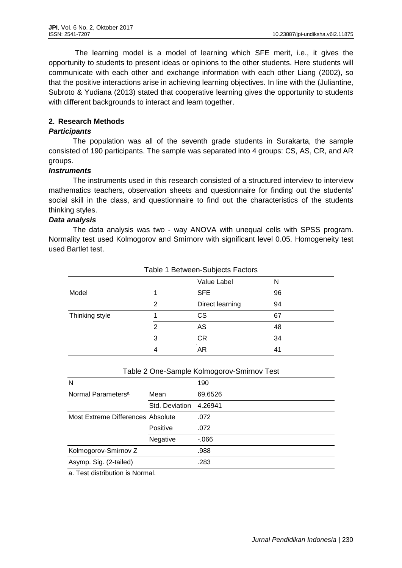The learning model is a model of learning which SFE merit, i.e., it gives the opportunity to students to present ideas or opinions to the other students. Here students will communicate with each other and exchange information with each other Liang (2002), so that the positive interactions arise in achieving learning objectives. In line with the (Juliantine, Subroto & Yudiana (2013) stated that cooperative learning gives the opportunity to students with different backgrounds to interact and learn together.

## **2. Research Methods**

### *Participants*

The population was all of the seventh grade students in Surakarta, the sample consisted of 190 participants. The sample was separated into 4 groups: CS, AS, CR, and AR groups.

#### *Instruments*

The instruments used in this research consisted of a structured interview to interview mathematics teachers, observation sheets and questionnaire for finding out the students' social skill in the class, and questionnaire to find out the characteristics of the students thinking styles.

### *Data analysis*

The data analysis was two - way ANOVA with unequal cells with SPSS program. Normality test used Kolmogorov and Smirnorv with significant level 0.05. Homogeneity test used Bartlet test.

| Table 1 Between-Subjects Factors |   |                 |    |  |  |
|----------------------------------|---|-----------------|----|--|--|
|                                  |   | Value Label     | N  |  |  |
| Model                            |   | <b>SFE</b>      | 96 |  |  |
|                                  | 2 | Direct learning | 94 |  |  |
| Thinking style                   |   | СS              | 67 |  |  |
|                                  | 2 | AS              | 48 |  |  |
|                                  | 3 | СR              | 34 |  |  |
|                                  |   | AR              | 41 |  |  |

#### Table 2 One-Sample Kolmogorov-Smirnov Test

| N                                 |                | 190     |
|-----------------------------------|----------------|---------|
| Normal Parameters <sup>a</sup>    | Mean           | 69.6526 |
|                                   | Std. Deviation | 4.26941 |
| Most Extreme Differences Absolute |                | .072    |
|                                   | Positive       | .072    |
|                                   | Negative       | $-066$  |
| Kolmogorov-Smirnov Z              |                | .988    |
| Asymp. Sig. (2-tailed)            |                | .283    |

a. Test distribution is Normal.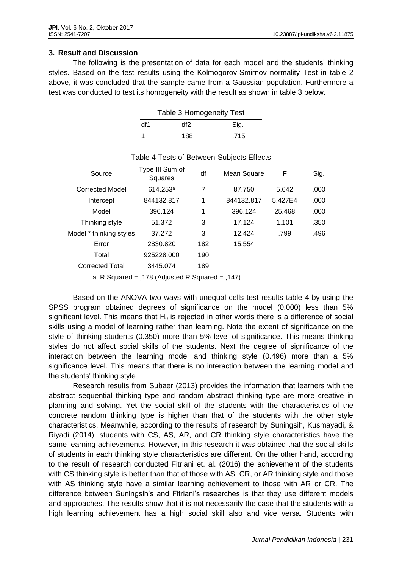## **3. Result and Discussion**

The following is the presentation of data for each model and the students' thinking styles. Based on the test results using the Kolmogorov-Smirnov normality Test in table 2 above, it was concluded that the sample came from a Gaussian population. Furthermore a test was conducted to test its homogeneity with the result as shown in table 3 below.

|     | Table 3 Homogeneity Test |      |  |  |  |
|-----|--------------------------|------|--|--|--|
| df1 | df2                      | Sig. |  |  |  |
|     | 188                      | .715 |  |  |  |

| Table 4 Tests of Between-Subjects Effects |                            |     |                             |         |      |  |  |
|-------------------------------------------|----------------------------|-----|-----------------------------|---------|------|--|--|
| Source                                    | Type III Sum of<br>Squares | df  | Mean Square                 | F       | Sig. |  |  |
| <b>Corrected Model</b>                    | 614.253a                   | 7   | 87.750                      | 5.642   | .000 |  |  |
| Intercept                                 | 844132.817                 | 1   | 844132.817                  | 5.427E4 | .000 |  |  |
| Model                                     | 396.124                    | 1   | 396.124                     | 25.468  | .000 |  |  |
| Thinking style                            | 51.372                     | 3   | 17.124                      | 1.101   | .350 |  |  |
| Model * thinking styles                   | 37.272                     | 3   | 12.424                      | .799    | .496 |  |  |
| Error                                     | 2830.820                   | 182 | 15.554                      |         |      |  |  |
| Total                                     | 925228.000                 | 190 |                             |         |      |  |  |
| <b>Corrected Total</b>                    | 3445.074                   | 189 |                             |         |      |  |  |
|                                           | $1 - 2$                    |     | $\rightarrow$ $\rightarrow$ |         |      |  |  |

a. R Squared = ,178 (Adjusted R Squared = ,147)

Based on the ANOVA two ways with unequal cells test results table 4 by using the SPSS program obtained degrees of significance on the model (0.000) less than 5% significant level. This means that  $H_0$  is rejected in other words there is a difference of social skills using a model of learning rather than learning. Note the extent of significance on the style of thinking students (0.350) more than 5% level of significance. This means thinking styles do not affect social skills of the students. Next the degree of significance of the interaction between the learning model and thinking style (0.496) more than a 5% significance level. This means that there is no interaction between the learning model and the students' thinking style.

Research results from Subaer (2013) provides the information that learners with the abstract sequential thinking type and random abstract thinking type are more creative in planning and solving. Yet the social skill of the students with the characteristics of the concrete random thinking type is higher than that of the students with the other style characteristics. Meanwhile, according to the results of research by Suningsih, Kusmayadi, & Riyadi (2014), students with CS, AS, AR, and CR thinking style characteristics have the same learning achievements. However, in this research it was obtained that the social skills of students in each thinking style characteristics are different. On the other hand, according to the result of research conducted Fitriani et. al. (2016) the achievement of the students with CS thinking style is better than that of those with AS, CR, or AR thinking style and those with AS thinking style have a similar learning achievement to those with AR or CR. The difference between Suningsih's and Fitriani's researches is that they use different models and approaches. The results show that it is not necessarily the case that the students with a high learning achievement has a high social skill also and vice versa. Students with